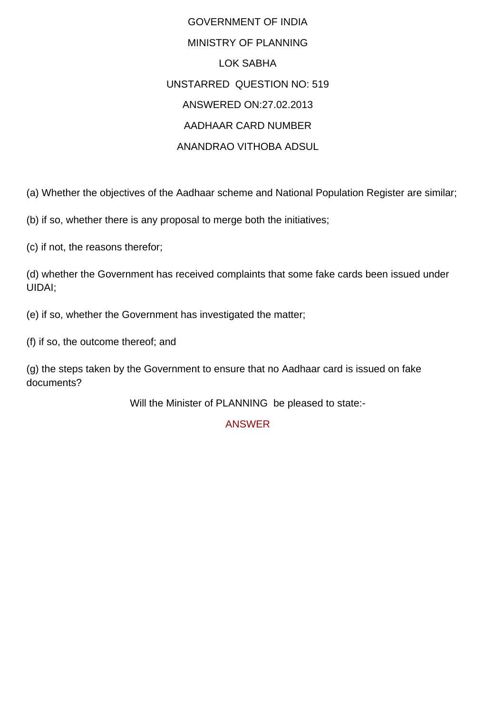## GOVERNMENT OF INDIA MINISTRY OF PLANNING LOK SABHA UNSTARRED QUESTION NO: 519 ANSWERED ON:27.02.2013 AADHAAR CARD NUMBER ANANDRAO VITHOBA ADSUL

(a) Whether the objectives of the Aadhaar scheme and National Population Register are similar;

(b) if so, whether there is any proposal to merge both the initiatives;

(c) if not, the reasons therefor;

(d) whether the Government has received complaints that some fake cards been issued under UIDAI;

(e) if so, whether the Government has investigated the matter;

(f) if so, the outcome thereof; and

(g) the steps taken by the Government to ensure that no Aadhaar card is issued on fake documents?

Will the Minister of PLANNING be pleased to state:-

ANSWER